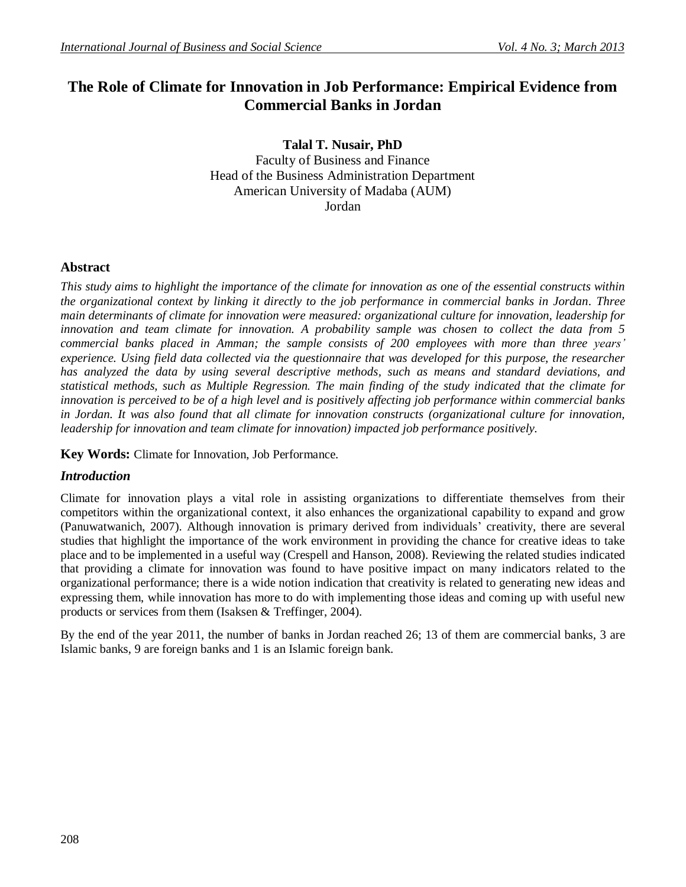# **The Role of Climate for Innovation in Job Performance: Empirical Evidence from Commercial Banks in Jordan**

**Talal T. Nusair, PhD** Faculty of Business and Finance Head of the Business Administration Department American University of Madaba (AUM) Jordan

# **Abstract**

*This study aims to highlight the importance of the climate for innovation as one of the essential constructs within the organizational context by linking it directly to the job performance in commercial banks in Jordan. Three main determinants of climate for innovation were measured: organizational culture for innovation, leadership for innovation and team climate for innovation. A probability sample was chosen to collect the data from 5 commercial banks placed in Amman; the sample consists of 200 employees with more than three years' experience. Using field data collected via the questionnaire that was developed for this purpose, the researcher has analyzed the data by using several descriptive methods, such as means and standard deviations, and statistical methods, such as Multiple Regression*. *The main finding of the study indicated that the climate for innovation is perceived to be of a high level and is positively affecting job performance within commercial banks in Jordan. It was also found that all climate for innovation constructs (organizational culture for innovation, leadership for innovation and team climate for innovation) impacted job performance positively.* 

**Key Words:** Climate for Innovation, Job Performance.

# *Introduction*

Climate for innovation plays a vital role in assisting organizations to differentiate themselves from their competitors within the organizational context, it also enhances the organizational capability to expand and grow (Panuwatwanich, 2007). Although innovation is primary derived from individuals' creativity, there are several studies that highlight the importance of the work environment in providing the chance for creative ideas to take place and to be implemented in a useful way (Crespell and Hanson, 2008). Reviewing the related studies indicated that providing a climate for innovation was found to have positive impact on many indicators related to the organizational performance; there is a wide notion indication that creativity is related to generating new ideas and expressing them, while innovation has more to do with implementing those ideas and coming up with useful new products or services from them (Isaksen & Treffinger, 2004).

By the end of the year 2011, the number of banks in Jordan reached 26; 13 of them are commercial banks, 3 are Islamic banks, 9 are foreign banks and 1 is an Islamic foreign bank.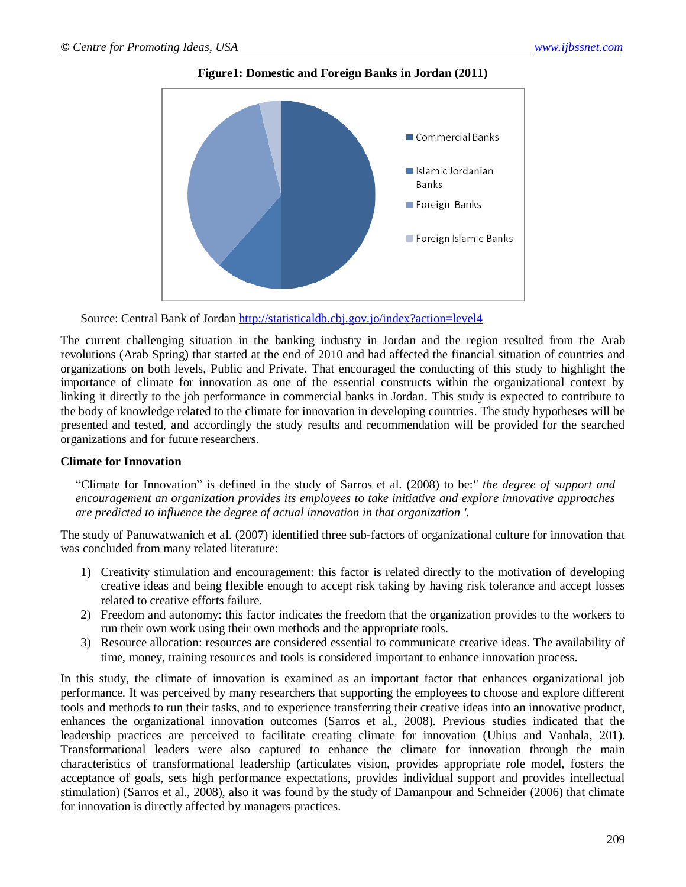

**Figure1: Domestic and Foreign Banks in Jordan (2011)**

Source: Central Bank of Jordan<http://statisticaldb.cbj.gov.jo/index?action=level4>

The current challenging situation in the banking industry in Jordan and the region resulted from the Arab revolutions (Arab Spring) that started at the end of 2010 and had affected the financial situation of countries and organizations on both levels, Public and Private. That encouraged the conducting of this study to highlight the importance of climate for innovation as one of the essential constructs within the organizational context by linking it directly to the job performance in commercial banks in Jordan. This study is expected to contribute to the body of knowledge related to the climate for innovation in developing countries. The study hypotheses will be presented and tested, and accordingly the study results and recommendation will be provided for the searched organizations and for future researchers.

# **Climate for Innovation**

"Climate for Innovation" is defined in the study of Sarros et al. (2008) to be:*" the degree of support and encouragement an organization provides its employees to take initiative and explore innovative approaches are predicted to influence the degree of actual innovation in that organization '.* 

The study of Panuwatwanich et al. (2007) identified three sub-factors of organizational culture for innovation that was concluded from many related literature:

- 1) Creativity stimulation and encouragement: this factor is related directly to the motivation of developing creative ideas and being flexible enough to accept risk taking by having risk tolerance and accept losses related to creative efforts failure.
- 2) Freedom and autonomy: this factor indicates the freedom that the organization provides to the workers to run their own work using their own methods and the appropriate tools.
- 3) Resource allocation: resources are considered essential to communicate creative ideas. The availability of time, money, training resources and tools is considered important to enhance innovation process.

In this study, the climate of innovation is examined as an important factor that enhances organizational job performance. It was perceived by many researchers that supporting the employees to choose and explore different tools and methods to run their tasks, and to experience transferring their creative ideas into an innovative product, enhances the organizational innovation outcomes (Sarros et al., 2008). Previous studies indicated that the leadership practices are perceived to facilitate creating climate for innovation (Ubius and Vanhala, 201). Transformational leaders were also captured to enhance the climate for innovation through the main characteristics of transformational leadership (articulates vision, provides appropriate role model, fosters the acceptance of goals, sets high performance expectations, provides individual support and provides intellectual stimulation) (Sarros et al., 2008), also it was found by the study of Damanpour and Schneider (2006) that climate for innovation is directly affected by managers practices.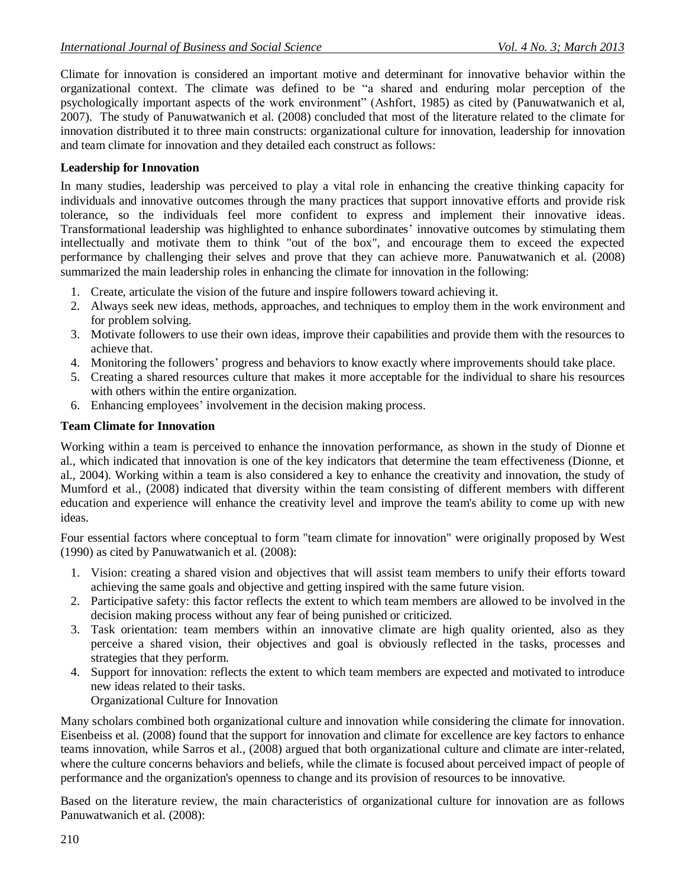Climate for innovation is considered an important motive and determinant for innovative behavior within the organizational context. The climate was defined to be "a shared and enduring molar perception of the psychologically important aspects of the work environment" (Ashfort, 1985) as cited by (Panuwatwanich et al, 2007). The study of Panuwatwanich et al. (2008) concluded that most of the literature related to the climate for innovation distributed it to three main constructs: organizational culture for innovation, leadership for innovation and team climate for innovation and they detailed each construct as follows:

# **Leadership for Innovation**

In many studies, leadership was perceived to play a vital role in enhancing the creative thinking capacity for individuals and innovative outcomes through the many practices that support innovative efforts and provide risk tolerance, so the individuals feel more confident to express and implement their innovative ideas. Transformational leadership was highlighted to enhance subordinates' innovative outcomes by stimulating them intellectually and motivate them to think "out of the box", and encourage them to exceed the expected performance by challenging their selves and prove that they can achieve more. Panuwatwanich et al. (2008) summarized the main leadership roles in enhancing the climate for innovation in the following:

- 1. Create, articulate the vision of the future and inspire followers toward achieving it.
- 2. Always seek new ideas, methods, approaches, and techniques to employ them in the work environment and for problem solving.
- 3. Motivate followers to use their own ideas, improve their capabilities and provide them with the resources to achieve that.
- 4. Monitoring the followers' progress and behaviors to know exactly where improvements should take place.
- 5. Creating a shared resources culture that makes it more acceptable for the individual to share his resources with others within the entire organization.
- 6. Enhancing employees' involvement in the decision making process.

# **Team Climate for Innovation**

Working within a team is perceived to enhance the innovation performance, as shown in the study of Dionne et al., which indicated that innovation is one of the key indicators that determine the team effectiveness (Dionne, et al., 2004). Working within a team is also considered a key to enhance the creativity and innovation, the study of Mumford et al., (2008) indicated that diversity within the team consisting of different members with different education and experience will enhance the creativity level and improve the team's ability to come up with new ideas.

Four essential factors where conceptual to form "team climate for innovation" were originally proposed by West (1990) as cited by Panuwatwanich et al. (2008):

- 1. Vision: creating a shared vision and objectives that will assist team members to unify their efforts toward achieving the same goals and objective and getting inspired with the same future vision.
- 2. Participative safety: this factor reflects the extent to which team members are allowed to be involved in the decision making process without any fear of being punished or criticized.
- 3. Task orientation: team members within an innovative climate are high quality oriented, also as they perceive a shared vision, their objectives and goal is obviously reflected in the tasks, processes and strategies that they perform.
- 4. Support for innovation: reflects the extent to which team members are expected and motivated to introduce new ideas related to their tasks.
	- Organizational Culture for Innovation

Many scholars combined both organizational culture and innovation while considering the climate for innovation. Eisenbeiss et al. (2008) found that the support for innovation and climate for excellence are key factors to enhance teams innovation, while Sarros et al., (2008) argued that both organizational culture and climate are inter-related, where the culture concerns behaviors and beliefs, while the climate is focused about perceived impact of people of performance and the organization's openness to change and its provision of resources to be innovative.

Based on the literature review, the main characteristics of organizational culture for innovation are as follows Panuwatwanich et al. (2008):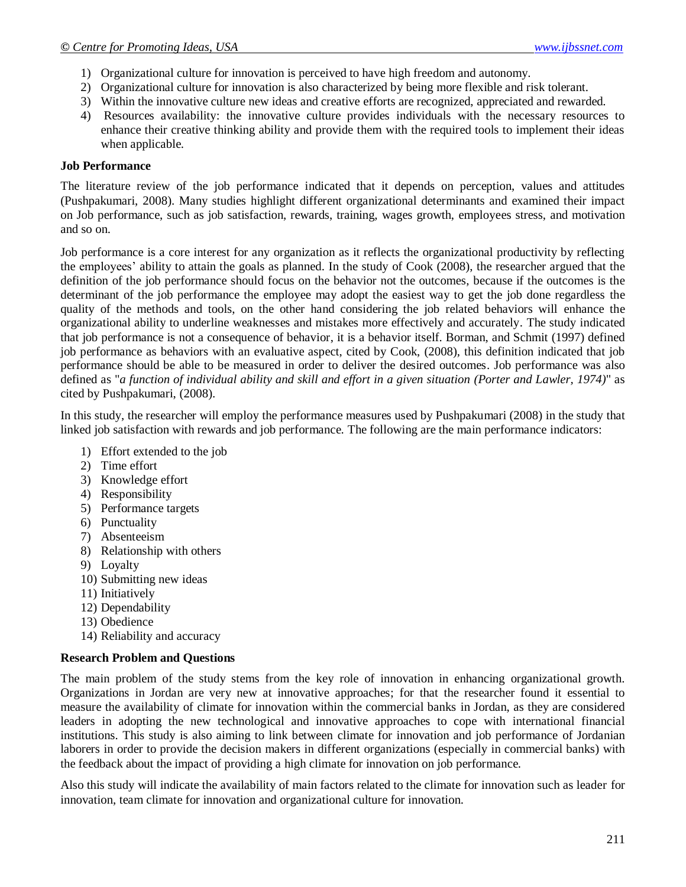- 1) Organizational culture for innovation is perceived to have high freedom and autonomy.
- 2) Organizational culture for innovation is also characterized by being more flexible and risk tolerant.
- 3) Within the innovative culture new ideas and creative efforts are recognized, appreciated and rewarded.
- 4) Resources availability: the innovative culture provides individuals with the necessary resources to enhance their creative thinking ability and provide them with the required tools to implement their ideas when applicable.

# **Job Performance**

The literature review of the job performance indicated that it depends on perception, values and attitudes (Pushpakumari, 2008). Many studies highlight different organizational determinants and examined their impact on Job performance, such as job satisfaction, rewards, training, wages growth, employees stress, and motivation and so on.

Job performance is a core interest for any organization as it reflects the organizational productivity by reflecting the employees' ability to attain the goals as planned. In the study of Cook (2008), the researcher argued that the definition of the job performance should focus on the behavior not the outcomes, because if the outcomes is the determinant of the job performance the employee may adopt the easiest way to get the job done regardless the quality of the methods and tools, on the other hand considering the job related behaviors will enhance the organizational ability to underline weaknesses and mistakes more effectively and accurately. The study indicated that job performance is not a consequence of behavior, it is a behavior itself. Borman, and Schmit (1997) defined job performance as behaviors with an evaluative aspect, cited by Cook, (2008), this definition indicated that job performance should be able to be measured in order to deliver the desired outcomes. Job performance was also defined as "*a function of individual ability and skill and effort in a given situation (Porter and Lawler, 1974)*" as cited by Pushpakumari, (2008).

In this study, the researcher will employ the performance measures used by Pushpakumari (2008) in the study that linked job satisfaction with rewards and job performance. The following are the main performance indicators:

- 1) Effort extended to the job
- 2) Time effort
- 3) Knowledge effort
- 4) Responsibility
- 5) Performance targets
- 6) Punctuality
- 7) Absenteeism
- 8) Relationship with others
- 9) Loyalty
- 10) Submitting new ideas
- 11) Initiatively
- 12) Dependability
- 13) Obedience
- 14) Reliability and accuracy

# **Research Problem and Questions**

The main problem of the study stems from the key role of innovation in enhancing organizational growth. Organizations in Jordan are very new at innovative approaches; for that the researcher found it essential to measure the availability of climate for innovation within the commercial banks in Jordan, as they are considered leaders in adopting the new technological and innovative approaches to cope with international financial institutions. This study is also aiming to link between climate for innovation and job performance of Jordanian laborers in order to provide the decision makers in different organizations (especially in commercial banks) with the feedback about the impact of providing a high climate for innovation on job performance.

Also this study will indicate the availability of main factors related to the climate for innovation such as leader for innovation, team climate for innovation and organizational culture for innovation.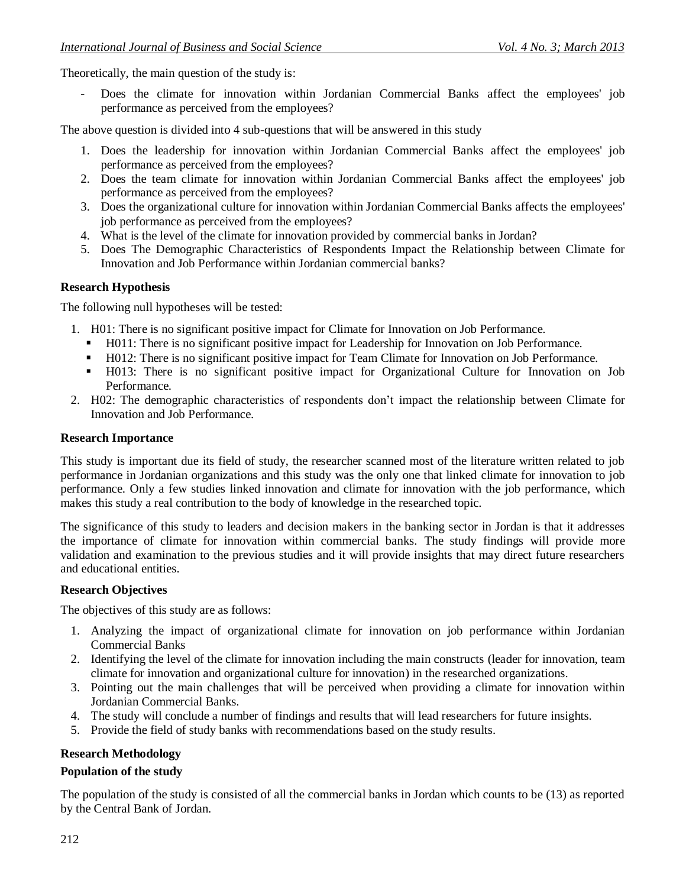Theoretically, the main question of the study is:

- Does the climate for innovation within Jordanian Commercial Banks affect the employees' job performance as perceived from the employees?

The above question is divided into 4 sub-questions that will be answered in this study

- 1. Does the leadership for innovation within Jordanian Commercial Banks affect the employees' job performance as perceived from the employees?
- 2. Does the team climate for innovation within Jordanian Commercial Banks affect the employees' job performance as perceived from the employees?
- 3. Does the organizational culture for innovation within Jordanian Commercial Banks affects the employees' job performance as perceived from the employees?
- 4. What is the level of the climate for innovation provided by commercial banks in Jordan?
- 5. Does The Demographic Characteristics of Respondents Impact the Relationship between Climate for Innovation and Job Performance within Jordanian commercial banks?

# **Research Hypothesis**

The following null hypotheses will be tested:

- 1. H01: There is no significant positive impact for Climate for Innovation on Job Performance.
	- H011: There is no significant positive impact for Leadership for Innovation on Job Performance.
	- H012: There is no significant positive impact for Team Climate for Innovation on Job Performance.
	- H013: There is no significant positive impact for Organizational Culture for Innovation on Job Performance.
- 2. H02: The demographic characteristics of respondents don't impact the relationship between Climate for Innovation and Job Performance.

# **Research Importance**

This study is important due its field of study, the researcher scanned most of the literature written related to job performance in Jordanian organizations and this study was the only one that linked climate for innovation to job performance. Only a few studies linked innovation and climate for innovation with the job performance, which makes this study a real contribution to the body of knowledge in the researched topic.

The significance of this study to leaders and decision makers in the banking sector in Jordan is that it addresses the importance of climate for innovation within commercial banks. The study findings will provide more validation and examination to the previous studies and it will provide insights that may direct future researchers and educational entities.

# **Research Objectives**

The objectives of this study are as follows:

- 1. Analyzing the impact of organizational climate for innovation on job performance within Jordanian Commercial Banks
- 2. Identifying the level of the climate for innovation including the main constructs (leader for innovation, team climate for innovation and organizational culture for innovation) in the researched organizations.
- 3. Pointing out the main challenges that will be perceived when providing a climate for innovation within Jordanian Commercial Banks.
- 4. The study will conclude a number of findings and results that will lead researchers for future insights.
- 5. Provide the field of study banks with recommendations based on the study results.

# **Research Methodology**

# **Population of the study**

The population of the study is consisted of all the commercial banks in Jordan which counts to be (13) as reported by the Central Bank of Jordan.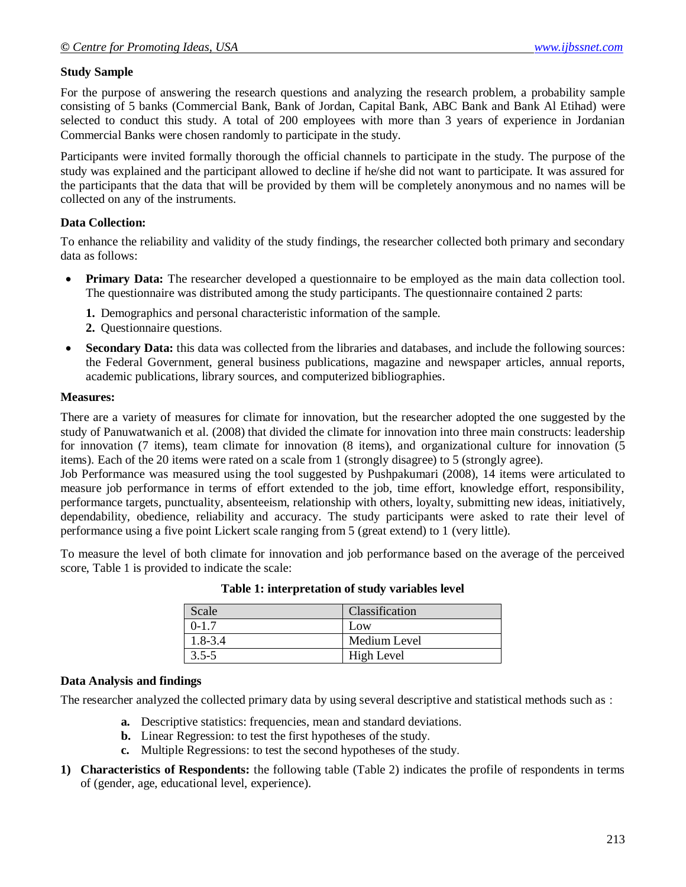# **Study Sample**

For the purpose of answering the research questions and analyzing the research problem, a probability sample consisting of 5 banks (Commercial Bank, Bank of Jordan, Capital Bank, ABC Bank and Bank Al Etihad) were selected to conduct this study. A total of 200 employees with more than 3 years of experience in Jordanian Commercial Banks were chosen randomly to participate in the study.

Participants were invited formally thorough the official channels to participate in the study. The purpose of the study was explained and the participant allowed to decline if he/she did not want to participate. It was assured for the participants that the data that will be provided by them will be completely anonymous and no names will be collected on any of the instruments.

# **Data Collection:**

To enhance the reliability and validity of the study findings, the researcher collected both primary and secondary data as follows:

- **Primary Data:** The researcher developed a questionnaire to be employed as the main data collection tool. The questionnaire was distributed among the study participants. The questionnaire contained 2 parts:
	- **1.** Demographics and personal characteristic information of the sample.
	- **2.** Questionnaire questions.
- **Secondary Data:** this data was collected from the libraries and databases, and include the following sources: the Federal Government, general business publications, magazine and newspaper articles, annual reports, academic publications, library sources, and computerized bibliographies.

# **Measures:**

There are a variety of measures for climate for innovation, but the researcher adopted the one suggested by the study of Panuwatwanich et al. (2008) that divided the climate for innovation into three main constructs: leadership for innovation (7 items), team climate for innovation (8 items), and organizational culture for innovation (5 items). Each of the 20 items were rated on a scale from 1 (strongly disagree) to 5 (strongly agree).

Job Performance was measured using the tool suggested by Pushpakumari (2008), 14 items were articulated to measure job performance in terms of effort extended to the job, time effort, knowledge effort, responsibility, performance targets, punctuality, absenteeism, relationship with others, loyalty, submitting new ideas, initiatively, dependability, obedience, reliability and accuracy. The study participants were asked to rate their level of performance using a five point Lickert scale ranging from 5 (great extend) to 1 (very little).

To measure the level of both climate for innovation and job performance based on the average of the perceived score, Table 1 is provided to indicate the scale:

| Scale     | Classification |
|-----------|----------------|
| $0 - 1.7$ | Low            |
| 1.8-3.4   | Medium Level   |
| $3.5 - 5$ | High Level     |

**Table 1: interpretation of study variables level**

# **Data Analysis and findings**

The researcher analyzed the collected primary data by using several descriptive and statistical methods such as :

- **a.** Descriptive statistics: frequencies, mean and standard deviations.
- **b.** Linear Regression: to test the first hypotheses of the study.
- **c.** Multiple Regressions: to test the second hypotheses of the study.
- **1) Characteristics of Respondents:** the following table (Table 2) indicates the profile of respondents in terms of (gender, age, educational level, experience).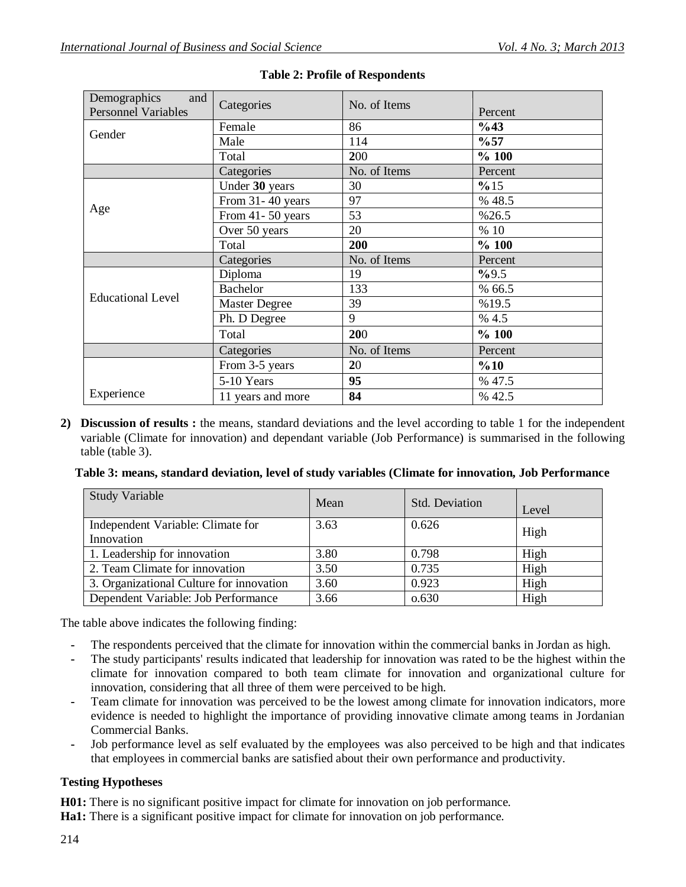| Demographics<br>and        |                   | No. of Items |         |
|----------------------------|-------------------|--------------|---------|
| <b>Personnel Variables</b> | Categories        |              | Percent |
| Gender                     | Female            | 86           | %43     |
|                            | Male              | 114          | $\%57$  |
|                            | Total             | 200          | %100    |
|                            | Categories        | No. of Items | Percent |
|                            | Under 30 years    | 30           | %15     |
|                            | From 31-40 years  | 97           | % 48.5  |
| Age                        | From 41-50 years  | 53           | %26.5   |
|                            | Over 50 years     | 20           | % 10    |
|                            | Total             | 200          | %100    |
|                            | Categories        | No. of Items | Percent |
|                            | Diploma           | 19           | %9.5    |
|                            | <b>Bachelor</b>   | 133          | % 66.5  |
| <b>Educational Level</b>   | Master Degree     | 39           | %19.5   |
|                            | Ph. D Degree      | 9            | % 4.5   |
|                            | Total             | 200          | %100    |
|                            | Categories        | No. of Items | Percent |
|                            | From 3-5 years    | 20           | %10     |
|                            | 5-10 Years        | 95           | % 47.5  |
| Experience                 | 11 years and more | 84           | % 42.5  |

# **Table 2: Profile of Respondents**

**2) Discussion of results :** the means, standard deviations and the level according to table 1 for the independent variable (Climate for innovation) and dependant variable (Job Performance) is summarised in the following table (table 3).

#### **Table 3: means, standard deviation, level of study variables (Climate for innovation, Job Performance**

| <b>Study Variable</b>                           | Mean | Std. Deviation | Level |
|-------------------------------------------------|------|----------------|-------|
| Independent Variable: Climate for<br>Innovation | 3.63 | 0.626          | High  |
| 1. Leadership for innovation                    | 3.80 | 0.798          | High  |
| 2. Team Climate for innovation                  | 3.50 | 0.735          | High  |
| 3. Organizational Culture for innovation        | 3.60 | 0.923          | High  |
| Dependent Variable: Job Performance             | 3.66 | 0.630          | High  |

The table above indicates the following finding:

- **-** The respondents perceived that the climate for innovation within the commercial banks in Jordan as high.
- **-** The study participants' results indicated that leadership for innovation was rated to be the highest within the climate for innovation compared to both team climate for innovation and organizational culture for innovation, considering that all three of them were perceived to be high.
- **-** Team climate for innovation was perceived to be the lowest among climate for innovation indicators, more evidence is needed to highlight the importance of providing innovative climate among teams in Jordanian Commercial Banks.
- **-** Job performance level as self evaluated by the employees was also perceived to be high and that indicates that employees in commercial banks are satisfied about their own performance and productivity.

# **Testing Hypotheses**

**H01:** There is no significant positive impact for climate for innovation on job performance.

**Ha1:** There is a significant positive impact for climate for innovation on job performance.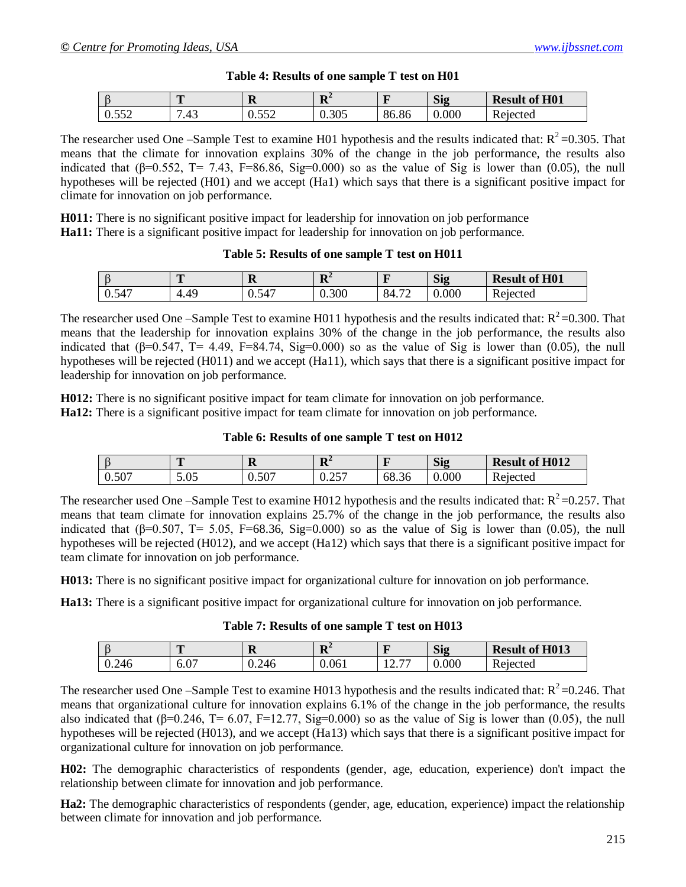| Table 4: Results of one sample T test on H01 |
|----------------------------------------------|
|----------------------------------------------|

|                                                 | m<br>$\sim$                                    | D<br>ĸ              | D <sup>A</sup><br>л | $\sim$ | Sig   | of H <sub>01</sub><br><b>Result</b> |
|-------------------------------------------------|------------------------------------------------|---------------------|---------------------|--------|-------|-------------------------------------|
| $\sim$ $\sim$ $\sim$<br>$\sim$<br>v. <i>∍J∠</i> | $\overline{ }$<br>$\Lambda$<br>∸<br>$\cdot$ TJ | $F F \cap$<br>◡.◡◡∠ | 20r<br>U.SUJ        | 86.86  | 0.000 | 'eiected<br>17C                     |

The researcher used One –Sample Test to examine H01 hypothesis and the results indicated that:  $R^2$  =0.305. That means that the climate for innovation explains 30% of the change in the job performance, the results also indicated that ( $\beta$ =0.552, T= 7.43, F=86.86, Sig=0.000) so as the value of Sig is lower than (0.05), the null hypotheses will be rejected (H01) and we accept (Ha1) which says that there is a significant positive impact for climate for innovation on job performance.

**H011:** There is no significant positive impact for leadership for innovation on job performance **Ha11:** There is a significant positive impact for leadership for innovation on job performance.

#### **Table 5: Results of one sample T test on H011**

|       | <b>PER</b>            | D<br>м                           | D <sup>4</sup><br>V | $\sim$                              | Sig   | of H <sub>01</sub><br><b>Result</b> |
|-------|-----------------------|----------------------------------|---------------------|-------------------------------------|-------|-------------------------------------|
| 0.547 | 49<br>4<br>. .<br>. . | $\overline{a}$<br>-<br>١۷<br>◡.◡ | 0.300               | $\overline{\phantom{a}}$<br>84<br>∸ | 0.000 | רד<br>Rejected                      |

The researcher used One –Sample Test to examine H011 hypothesis and the results indicated that:  $R^2$  =0.300. That means that the leadership for innovation explains 30% of the change in the job performance, the results also indicated that ( $\beta$ =0.547, T= 4.49, F=84.74, Sig=0.000) so as the value of Sig is lower than (0.05), the null hypotheses will be rejected (H011) and we accept (Ha11), which says that there is a significant positive impact for leadership for innovation on job performance.

**H012:** There is no significant positive impact for team climate for innovation on job performance. **Ha12:** There is a significant positive impact for team climate for innovation on job performance.

**Table 6: Results of one sample T test on H012**

|                     | m                               | A     | ${\bf D}^2$<br>ĸ              |       | $\sim$<br>$\mathbf{S19}$ | <b>Result of H012</b> |
|---------------------|---------------------------------|-------|-------------------------------|-------|--------------------------|-----------------------|
| $F \cap T$<br>U.SU. | $\Omega$<br>$\cup\cdot\cup\cup$ | 0.507 | $\cap$ $\subset$ $\cap$<br>◡⊷ | 68.36 | 0.000                    | Rejected              |

The researcher used One –Sample Test to examine H012 hypothesis and the results indicated that:  $R^2$  =0.257. That means that team climate for innovation explains 25.7% of the change in the job performance, the results also indicated that (β=0.507, T= 5.05, F=68.36, Sig=0.000) so as the value of Sig is lower than (0.05), the null hypotheses will be rejected (H012), and we accept (Ha12) which says that there is a significant positive impact for team climate for innovation on job performance.

**H013:** There is no significant positive impact for organizational culture for innovation on job performance.

**Ha13:** There is a significant positive impact for organizational culture for innovation on job performance.

# **Table 7: Results of one sample T test on H013**

|       | m             | A     | D <sup>2</sup><br>ĸ | -                                | Sig   | of $H013$<br><b>Result</b> |
|-------|---------------|-------|---------------------|----------------------------------|-------|----------------------------|
| 0.246 | $\sim$<br>v.v | 0.246 | 0.061               | $\overline{\phantom{a}}$<br>14.I | 0.000 | Rejected                   |

The researcher used One –Sample Test to examine H013 hypothesis and the results indicated that:  $R^2$  =0.246. That means that organizational culture for innovation explains 6.1% of the change in the job performance, the results also indicated that ( $\beta$ =0.246, T= 6.07, F=12.77, Sig=0.000) so as the value of Sig is lower than (0.05), the null hypotheses will be rejected (H013), and we accept (Ha13) which says that there is a significant positive impact for organizational culture for innovation on job performance.

**H02:** The demographic characteristics of respondents (gender, age, education, experience) don't impact the relationship between climate for innovation and job performance.

**Ha2:** The demographic characteristics of respondents (gender, age, education, experience) impact the relationship between climate for innovation and job performance.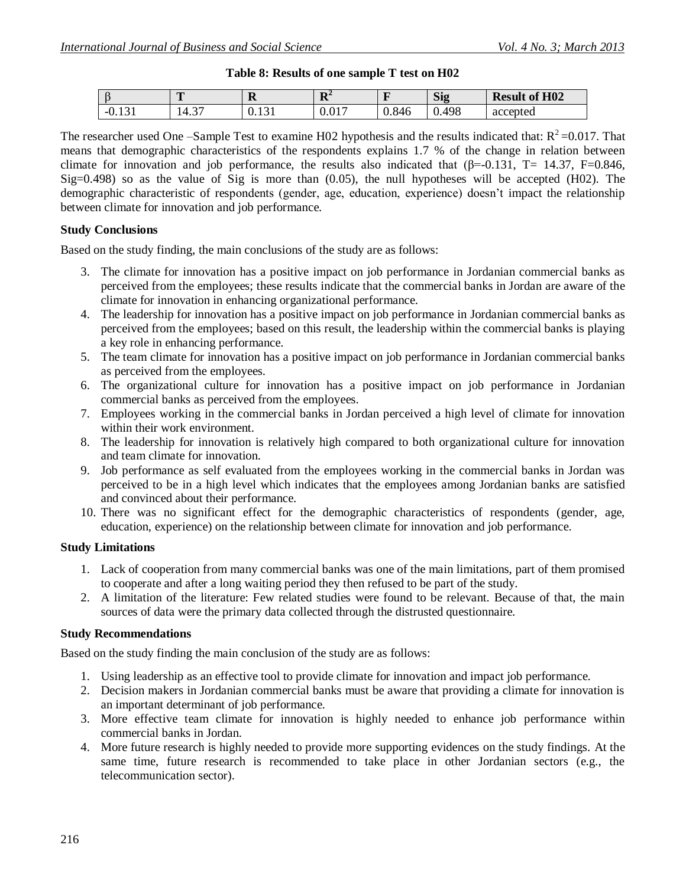| Table 8: Results of one sample T test on H02 |
|----------------------------------------------|
|                                              |

|                                            | $\mathbf{r}$   | г<br>л                                     | $\mathbf{D}^{\perp}$<br>A | $\sim$ | $\sim$<br>Si <sub>2</sub> | of $H02$<br><b>Result</b> |
|--------------------------------------------|----------------|--------------------------------------------|---------------------------|--------|---------------------------|---------------------------|
| $\mathbf{1} \cap$<br>- 1.<br><u>v. 191</u> | $\sim$<br>14.3 | $\overline{\phantom{0}}$<br><u>v. i ji</u> | $01-$<br>V. U1.           | 0.846  | 498<br>v.                 | accepted                  |

The researcher used One –Sample Test to examine H02 hypothesis and the results indicated that:  $R^2$  =0.017. That means that demographic characteristics of the respondents explains 1.7 % of the change in relation between climate for innovation and job performance, the results also indicated that  $(\beta = -0.131, T = 14.37, F = 0.846, T = 0.846)$ Sig=0.498) so as the value of Sig is more than (0.05), the null hypotheses will be accepted (H02). The demographic characteristic of respondents (gender, age, education, experience) doesn't impact the relationship between climate for innovation and job performance.

#### **Study Conclusions**

Based on the study finding, the main conclusions of the study are as follows:

- 3. The climate for innovation has a positive impact on job performance in Jordanian commercial banks as perceived from the employees; these results indicate that the commercial banks in Jordan are aware of the climate for innovation in enhancing organizational performance.
- 4. The leadership for innovation has a positive impact on job performance in Jordanian commercial banks as perceived from the employees; based on this result, the leadership within the commercial banks is playing a key role in enhancing performance.
- 5. The team climate for innovation has a positive impact on job performance in Jordanian commercial banks as perceived from the employees.
- 6. The organizational culture for innovation has a positive impact on job performance in Jordanian commercial banks as perceived from the employees.
- 7. Employees working in the commercial banks in Jordan perceived a high level of climate for innovation within their work environment.
- 8. The leadership for innovation is relatively high compared to both organizational culture for innovation and team climate for innovation.
- 9. Job performance as self evaluated from the employees working in the commercial banks in Jordan was perceived to be in a high level which indicates that the employees among Jordanian banks are satisfied and convinced about their performance.
- 10. There was no significant effect for the demographic characteristics of respondents (gender, age, education, experience) on the relationship between climate for innovation and job performance.

# **Study Limitations**

- 1. Lack of cooperation from many commercial banks was one of the main limitations, part of them promised to cooperate and after a long waiting period they then refused to be part of the study.
- 2. A limitation of the literature: Few related studies were found to be relevant. Because of that, the main sources of data were the primary data collected through the distrusted questionnaire.

# **Study Recommendations**

Based on the study finding the main conclusion of the study are as follows:

- 1. Using leadership as an effective tool to provide climate for innovation and impact job performance.
- 2. Decision makers in Jordanian commercial banks must be aware that providing a climate for innovation is an important determinant of job performance.
- 3. More effective team climate for innovation is highly needed to enhance job performance within commercial banks in Jordan.
- 4. More future research is highly needed to provide more supporting evidences on the study findings. At the same time, future research is recommended to take place in other Jordanian sectors (e.g., the telecommunication sector).